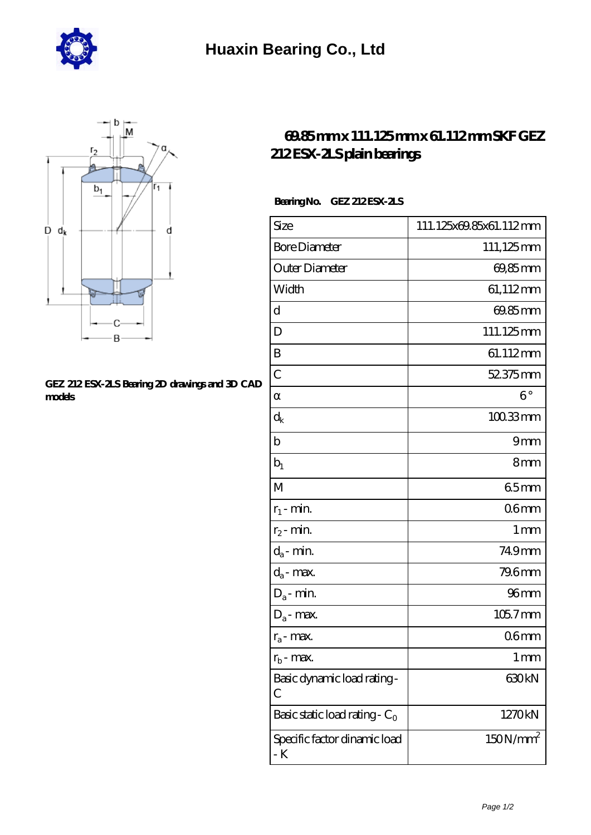



## **[GEZ 212 ESX-2LS Bearing 2D drawings and 3D CAD](https://m.hurtwoodmedia.com/pic-4815.html) [models](https://m.hurtwoodmedia.com/pic-4815.html)**

## **[69.85 mm x 111.125 mm x 61.112 mm SKF GEZ](https://m.hurtwoodmedia.com/bs-4815-skf-gez-212-esx-2ls-plain-bearings.html) [212 ESX-2LS plain bearings](https://m.hurtwoodmedia.com/bs-4815-skf-gez-212-esx-2ls-plain-bearings.html)**

## **Bearing No. GEZ 212 ESX-2LS**

| Size                                | 111.125x69.85x61.112mm |
|-------------------------------------|------------------------|
| <b>Bore Diameter</b>                | 111,125mm              |
| Outer Diameter                      | 69,85mm                |
| Width                               | 61,112mm               |
| d                                   | 69.85mm                |
| D                                   | 111.125mm              |
| B                                   | 61.112mm               |
| $\overline{C}$                      | 52.375mm               |
|                                     | $6^{\circ}$            |
| $\rm{d_k}$                          | $100.33$ mm            |
| $\mathbf b$                         | 9mm                    |
| $b_1$                               | 8mm                    |
| M                                   | 65mm                   |
| $r_1$ - min.                        | 06 <sub>mm</sub>       |
| $r_2$ - min.                        | 1 <sub>mm</sub>        |
| $d_a$ - min.                        | 749mm                  |
| $d_a$ - max.                        | 79.6mm                 |
| $D_a$ - min.                        | 96 <sub>mm</sub>       |
| $D_a$ - max.                        | 105.7mm                |
| $r_a$ - max.                        | 06mm                   |
| $r_{b}$ - max.                      | 1 mm                   |
| Basic dynamic load rating-<br>С     | 630kN                  |
| Basic static load rating - $C_0$    | 1270kN                 |
| Specific factor dinamic load<br>- K | 150N/mm <sup>2</sup>   |